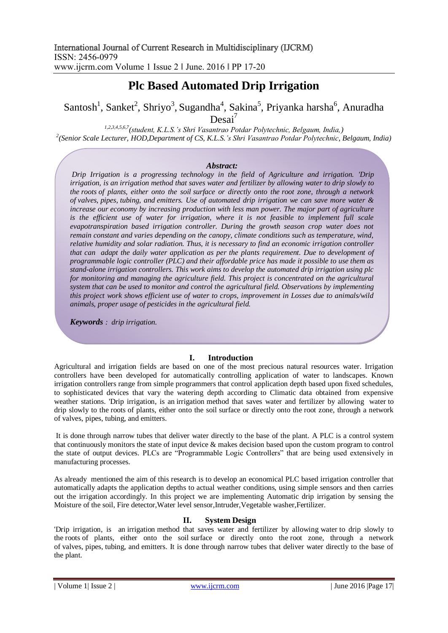# **Plc Based Automated Drip Irrigation**

Santosh<sup>1</sup>, Sanket<sup>2</sup>, Shriyo<sup>3</sup>, Sugandha<sup>4</sup>, Sakina<sup>5</sup>, Priyanka harsha<sup>6</sup>, Anuradha

 $Desai'$ 

*1,2,3,4,5,6,7(student, K.L.S.'s Shri Vasantrao Potdar Polytechnic, Belgaum, India,) 2 (Senior Scale Lecturer, HOD,Department of CS, K.L.S.'s Shri Vasantrao Potdar Polytechnic, Belgaum, India)*

### *Abstract:*

*Drip Irrigation is a progressing technology in the field of Agriculture and irrigation. 'Drip irrigation, is an [irrigation](https://en.wikipedia.org/wiki/Irrigation) method that saves water and fertilizer by allowing [water](https://en.wikipedia.org/wiki/Water) to drip slowly to the [roots](https://en.wikipedia.org/wiki/Root) of plants, either onto the [soil](https://en.wikipedia.org/wiki/Soil) surface or directly onto the [root zone,](https://en.wikipedia.org/wiki/Rhizosphere) through a network of [valves,](https://en.wikipedia.org/wiki/Valve) [pipes,](https://en.wikipedia.org/wiki/Pipe_(fluid_conveyance)) [tubing,](https://en.wikipedia.org/wiki/Tube_(fluid_conveyance)) and [emitters.](https://en.wikipedia.org/wiki/Drip_irrigation#Emitter) Use of automated drip irrigation we can save more water & increase our economy by increasing production with less man power. The major part of agriculture*  is the efficient use of water for irrigation, where it is not feasible to implement full scale *evapotranspiration based irrigation controller. During the growth season crop water does not remain constant and varies depending on the canopy, climate conditions such as temperature, wind, relative humidity and solar radiation. Thus, it is necessary to find an economic irrigation controller that can adapt the daily water application as per the plants requirement. Due to development of programmable logic controller (PLC) and their affordable price has made it possible to use them as stand-alone irrigation controllers. This work aims to develop the automated drip irrigation using plc for monitoring and managing the agriculture field. This project is concentrated on the agricultural system that can be used to monitor and control the agricultural field. Observations by implementing this project work shows efficient use of water to crops, improvement in Losses due to animals/wild animals, proper usage of pesticides in the agricultural field.*

*Keywords : drip irrigation.*

### **I. Introduction**

Agricultural and irrigation fields are based on one of the most precious natural resources water. Irrigation controllers have been developed for automatically controlling application of water to landscapes. Known irrigation controllers range from simple programmers that control application depth based upon fixed schedules, to sophisticated devices that vary the watering depth according to Climatic data obtained from expensive weather stations. 'Drip irrigation, is an [irrigation](https://en.wikipedia.org/wiki/Irrigation) method that saves water and fertilizer by allowing [water](https://en.wikipedia.org/wiki/Water) to drip slowly to the [roots](https://en.wikipedia.org/wiki/Root) of plants, either onto the [soil](https://en.wikipedia.org/wiki/Soil) surface or directly onto the [root zone,](https://en.wikipedia.org/wiki/Rhizosphere) through a network of [valves,](https://en.wikipedia.org/wiki/Valve) [pipes,](https://en.wikipedia.org/wiki/Pipe_(fluid_conveyance)) [tubing,](https://en.wikipedia.org/wiki/Tube_(fluid_conveyance)) and [emitters.](https://en.wikipedia.org/wiki/Drip_irrigation#Emitter)

It is done through narrow tubes that deliver water directly to the base of the plant. A PLC is a control system that continuously monitors the state of input device & makes decision based upon the custom program to control the state of output devices. PLCs are "Programmable Logic Controllers" that are being used extensively in manufacturing processes.

As already mentioned the aim of this research is to develop an economical PLC based irrigation controller that automatically adapts the application depths to actual weather conditions, using simple sensors and then carries out the irrigation accordingly. In this project we are implementing Automatic drip irrigation by sensing the Moisture of the soil, Fire detector,Water level sensor,Intruder,Vegetable washer,Fertilizer.

### **II. System Design**

'Drip irrigation, is an [irrigation](https://en.wikipedia.org/wiki/Irrigation) method that saves water and fertilizer by allowing [water](https://en.wikipedia.org/wiki/Water) to drip slowly to the [roots](https://en.wikipedia.org/wiki/Root) of plants, either onto the [soil](https://en.wikipedia.org/wiki/Soil) surface or directly onto the [root zone,](https://en.wikipedia.org/wiki/Rhizosphere) through a network of [valves,](https://en.wikipedia.org/wiki/Valve) [pipes,](https://en.wikipedia.org/wiki/Pipe_(fluid_conveyance)) [tubing,](https://en.wikipedia.org/wiki/Tube_(fluid_conveyance)) and [emitters.](https://en.wikipedia.org/wiki/Drip_irrigation#Emitter) It is done through narrow tubes that deliver water directly to the base of the plant.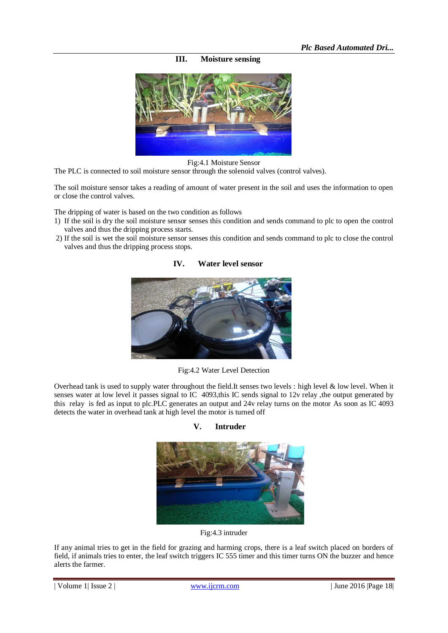**III. Moisture sensing**



Fig:4.1 Moisture Sensor

The PLC is connected to soil moisture sensor through the solenoid valves (control valves).

The soil moisture sensor takes a reading of amount of water present in the soil and uses the information to open or close the control valves.

The dripping of water is based on the two condition as follows

- 1) If the soil is dry the soil moisture sensor senses this condition and sends command to plc to open the control valves and thus the dripping process starts.
- 2) If the soil is wet the soil moisture sensor senses this condition and sends command to plc to close the control valves and thus the dripping process stops.



**IV. Water level sensor**

Fig:4.2 Water Level Detection

Overhead tank is used to supply water throughout the field.It senses two levels : high level & low level. When it senses water at low level it passes signal to IC 4093,this IC sends signal to 12v relay ,the output generated by this relay is fed as input to plc.PLC generates an output and 24v relay turns on the motor As soon as IC 4093 detects the water in overhead tank at high level the motor is turned off

**V. Intruder**



Fig:4.3 intruder

If any animal tries to get in the field for grazing and harming crops, there is a leaf switch placed on borders of field, if animals tries to enter, the leaf switch triggers IC 555 timer and this timer turns ON the buzzer and hence alerts the farmer.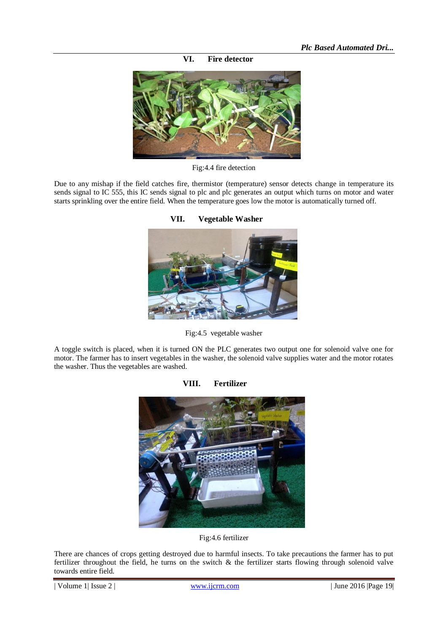**VI. Fire detector**



Fig:4.4 fire detection

Due to any mishap if the field catches fire, thermistor (temperature) sensor detects change in temperature its sends signal to IC 555, this IC sends signal to plc and plc generates an output which turns on motor and water starts sprinkling over the entire field. When the temperature goes low the motor is automatically turned off.



**VII. Vegetable Washer**

Fig:4.5 vegetable washer

A toggle switch is placed, when it is turned ON the PLC generates two output one for solenoid valve one for motor. The farmer has to insert vegetables in the washer, the solenoid valve supplies water and the motor rotates the washer. Thus the vegetables are washed.



## **VIII. Fertilizer**

There are chances of crops getting destroyed due to harmful insects. To take precautions the farmer has to put fertilizer throughout the field, he turns on the switch & the fertilizer starts flowing through solenoid valve towards entire field.

Fig:4.6 fertilizer